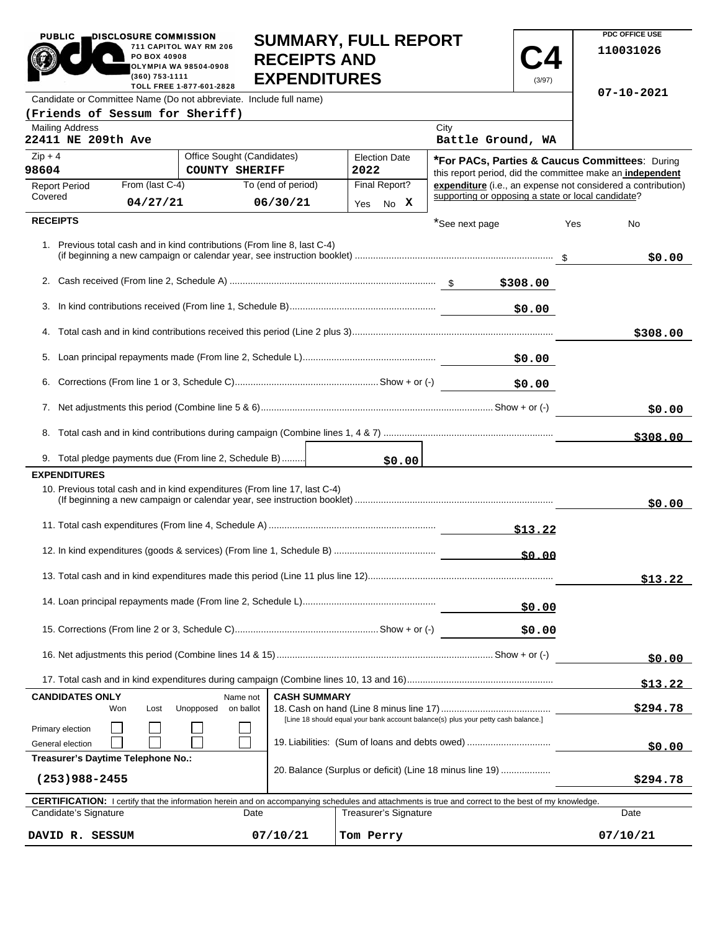| <b>PUBLIC</b><br>DISCLOSURE COMMISSION<br>711 CAPITOL WAY RM 206<br>PO BOX 40908<br>OLYMPIA WA 98504-0908<br>(360) 753-1111<br>TOLL FREE 1-877-601-2828 |                       |                                                                                                                                     |                       | <b>SUMMARY, FULL REPORT</b><br><b>RECEIPTS AND</b><br><b>EXPENDITURES</b> |      |                              |                | (3/97)                                             |          | PDC OFFICE USE<br>110031026                                                                                 |  |
|---------------------------------------------------------------------------------------------------------------------------------------------------------|-----------------------|-------------------------------------------------------------------------------------------------------------------------------------|-----------------------|---------------------------------------------------------------------------|------|------------------------------|----------------|----------------------------------------------------|----------|-------------------------------------------------------------------------------------------------------------|--|
| Candidate or Committee Name (Do not abbreviate. Include full name)                                                                                      |                       |                                                                                                                                     |                       |                                                                           |      |                              |                |                                                    |          | 07-10-2021                                                                                                  |  |
| (Friends of Sessum for Sheriff)                                                                                                                         |                       |                                                                                                                                     |                       |                                                                           |      |                              |                |                                                    |          |                                                                                                             |  |
| <b>Mailing Address</b><br>22411 NE 209th Ave                                                                                                            |                       |                                                                                                                                     |                       |                                                                           |      |                              | City           | Battle Ground, WA                                  |          |                                                                                                             |  |
| $Zip + 4$<br>98604                                                                                                                                      |                       | Office Sought (Candidates)                                                                                                          | <b>COUNTY SHERIFF</b> |                                                                           | 2022 | <b>Election Date</b>         |                |                                                    |          | *For PACs, Parties & Caucus Committees: During<br>this report period, did the committee make an independent |  |
| <b>Report Period</b>                                                                                                                                    | From (last C-4)       |                                                                                                                                     | To (end of period)    |                                                                           |      | Final Report?                |                |                                                    |          | expenditure (i.e., an expense not considered a contribution)                                                |  |
| Covered                                                                                                                                                 | 04/27/21              |                                                                                                                                     | 06/30/21              |                                                                           |      | Yes No X                     |                | supporting or opposing a state or local candidate? |          |                                                                                                             |  |
| <b>RECEIPTS</b>                                                                                                                                         |                       |                                                                                                                                     |                       |                                                                           |      |                              | *See next page |                                                    | Yes      | No                                                                                                          |  |
| 1. Previous total cash and in kind contributions (From line 8, last C-4)                                                                                |                       |                                                                                                                                     |                       |                                                                           |      |                              |                |                                                    |          | \$0.00                                                                                                      |  |
|                                                                                                                                                         |                       |                                                                                                                                     |                       |                                                                           |      |                              |                | \$308.00                                           |          |                                                                                                             |  |
|                                                                                                                                                         |                       |                                                                                                                                     |                       |                                                                           |      |                              |                | \$0.00                                             |          |                                                                                                             |  |
|                                                                                                                                                         |                       |                                                                                                                                     |                       |                                                                           |      |                              |                |                                                    |          | \$308.00                                                                                                    |  |
|                                                                                                                                                         |                       |                                                                                                                                     |                       |                                                                           |      |                              |                | \$0.00                                             |          |                                                                                                             |  |
|                                                                                                                                                         |                       |                                                                                                                                     |                       |                                                                           |      |                              |                | \$0.00                                             |          |                                                                                                             |  |
|                                                                                                                                                         |                       |                                                                                                                                     |                       |                                                                           |      |                              |                | \$0.00                                             |          |                                                                                                             |  |
|                                                                                                                                                         |                       |                                                                                                                                     |                       |                                                                           |      |                              |                |                                                    |          |                                                                                                             |  |
|                                                                                                                                                         |                       |                                                                                                                                     |                       |                                                                           |      |                              |                |                                                    |          | \$308.00                                                                                                    |  |
| 9. Total pledge payments due (From line 2, Schedule B)                                                                                                  |                       |                                                                                                                                     |                       |                                                                           |      | \$0.00                       |                |                                                    |          |                                                                                                             |  |
| <b>EXPENDITURES</b>                                                                                                                                     |                       |                                                                                                                                     |                       |                                                                           |      |                              |                |                                                    |          |                                                                                                             |  |
| 10. Previous total cash and in kind expenditures (From line 17, last C-4)                                                                               |                       |                                                                                                                                     |                       |                                                                           |      |                              |                |                                                    |          | \$0.00                                                                                                      |  |
|                                                                                                                                                         |                       |                                                                                                                                     |                       |                                                                           |      |                              |                |                                                    |          |                                                                                                             |  |
|                                                                                                                                                         |                       |                                                                                                                                     |                       |                                                                           |      |                              |                | \$0.00                                             |          |                                                                                                             |  |
|                                                                                                                                                         |                       |                                                                                                                                     |                       |                                                                           |      |                              |                |                                                    |          | \$13.22                                                                                                     |  |
|                                                                                                                                                         |                       |                                                                                                                                     |                       |                                                                           |      | \$0.00                       |                |                                                    |          |                                                                                                             |  |
|                                                                                                                                                         |                       |                                                                                                                                     |                       |                                                                           |      |                              |                | \$0.00                                             |          |                                                                                                             |  |
|                                                                                                                                                         |                       |                                                                                                                                     |                       |                                                                           |      |                              |                | \$0.00                                             |          |                                                                                                             |  |
|                                                                                                                                                         |                       |                                                                                                                                     |                       |                                                                           |      |                              |                |                                                    |          | \$13.22                                                                                                     |  |
| <b>CANDIDATES ONLY</b>                                                                                                                                  |                       |                                                                                                                                     | Name not              | <b>CASH SUMMARY</b>                                                       |      |                              |                |                                                    |          |                                                                                                             |  |
| Won                                                                                                                                                     | Lost                  | Unopposed                                                                                                                           | on ballot             |                                                                           |      |                              |                |                                                    |          | \$294.78                                                                                                    |  |
| Primary election<br>General election                                                                                                                    |                       | [Line 18 should equal your bank account balance(s) plus your petty cash balance.]<br>19. Liabilities: (Sum of loans and debts owed) |                       |                                                                           |      |                              |                | \$0.00                                             |          |                                                                                                             |  |
| Treasurer's Daytime Telephone No.:<br>20. Balance (Surplus or deficit) (Line 18 minus line 19)                                                          |                       |                                                                                                                                     |                       |                                                                           |      |                              |                |                                                    |          |                                                                                                             |  |
| $(253)988 - 2455$                                                                                                                                       |                       |                                                                                                                                     |                       |                                                                           |      |                              |                |                                                    |          | \$294.78                                                                                                    |  |
| CERTIFICATION: I certify that the information herein and on accompanying schedules and attachments is true and correct to the best of my knowledge.     |                       |                                                                                                                                     |                       |                                                                           |      |                              |                |                                                    |          |                                                                                                             |  |
| Candidate's Signature                                                                                                                                   |                       |                                                                                                                                     | Date                  |                                                                           |      | <b>Treasurer's Signature</b> |                |                                                    |          | Date                                                                                                        |  |
| DAVID R. SESSUM                                                                                                                                         | 07/10/21<br>Tom Perry |                                                                                                                                     |                       |                                                                           |      |                              |                |                                                    | 07/10/21 |                                                                                                             |  |